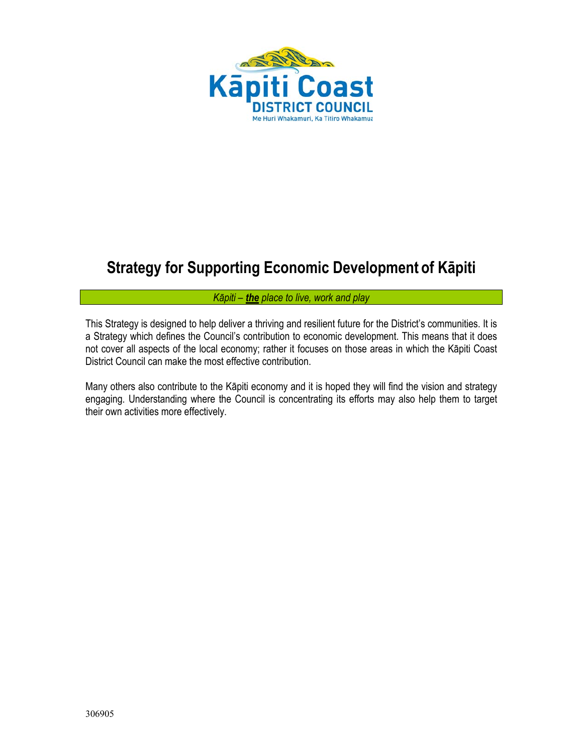

# **Strategy for Supporting Economic Development of Kāpiti**

#### *Kāpiti – the place to live, work and play*

This Strategy is designed to help deliver a thriving and resilient future for the District's communities. It is a Strategy which defines the Council's contribution to economic development. This means that it does not cover all aspects of the local economy; rather it focuses on those areas in which the Kāpiti Coast District Council can make the most effective contribution.

Many others also contribute to the Kāpiti economy and it is hoped they will find the vision and strategy engaging. Understanding where the Council is concentrating its efforts may also help them to target their own activities more effectively.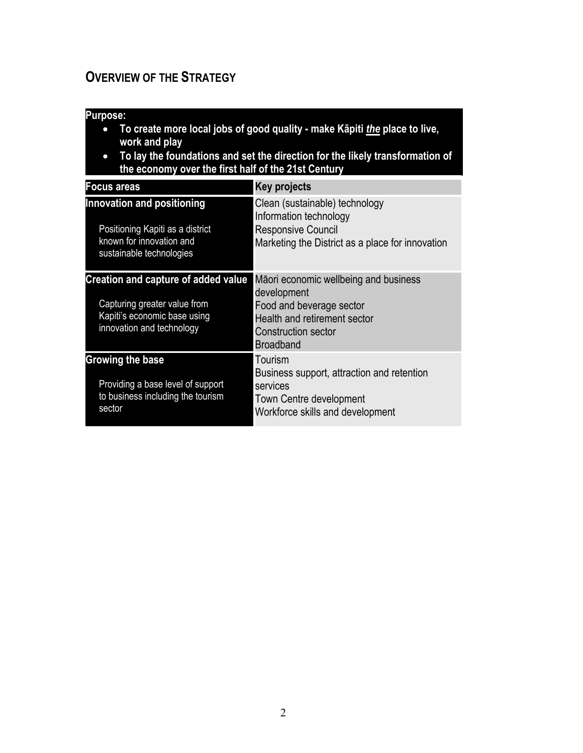# <span id="page-1-0"></span>**OVERVIEW OF THE STRATEGY**

### **Purpose:**

- **To create more local jobs of good quality make Kāpiti** *the* **place to live, work and play**
- **To lay the foundations and set the direction for the likely transformation of the economy over the first half of the 21st Century**

| Focus areas                                                                                                                             | <b>Key projects</b>                                                                                                                                                |
|-----------------------------------------------------------------------------------------------------------------------------------------|--------------------------------------------------------------------------------------------------------------------------------------------------------------------|
| Innovation and positioning<br>Positioning Kapiti as a district<br>known for innovation and<br>sustainable technologies                  | Clean (sustainable) technology<br>Information technology<br><b>Responsive Council</b><br>Marketing the District as a place for innovation                          |
| <b>Creation and capture of added value</b><br>Capturing greater value from<br>Kapiti's economic base using<br>innovation and technology | Māori economic wellbeing and business<br>development<br>Food and beverage sector<br>Health and retirement sector<br><b>Construction sector</b><br><b>Broadband</b> |
| Growing the base<br>Providing a base level of support<br>to business including the tourism<br>sector                                    | Tourism<br>Business support, attraction and retention<br>services<br>Town Centre development<br>Workforce skills and development                                   |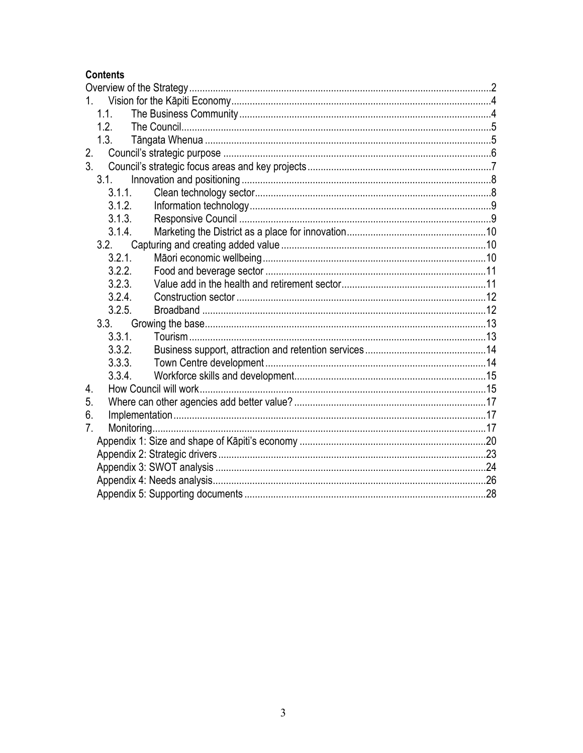### **Contents**

| 1.             |  |
|----------------|--|
| 1.1.           |  |
| 1.2.           |  |
| 1.3.           |  |
| 2.             |  |
| 3 <sub>l</sub> |  |
| 3.1.           |  |
| 3.1.1          |  |
| 3.1.2.         |  |
| 3.1.3.         |  |
| 3.1.4.         |  |
| 3.2.           |  |
| 3.2.1.         |  |
| 3.2.2.         |  |
| 3.2.3.         |  |
| 3.2.4.         |  |
| 3.2.5.         |  |
|                |  |
| 3.3.1.         |  |
| 3.3.2.         |  |
| 3.3.3.         |  |
| 3.3.4.         |  |
| 4.             |  |
| 5.             |  |
| 6.             |  |
| 7 <sub>1</sub> |  |
|                |  |
|                |  |
|                |  |
|                |  |
|                |  |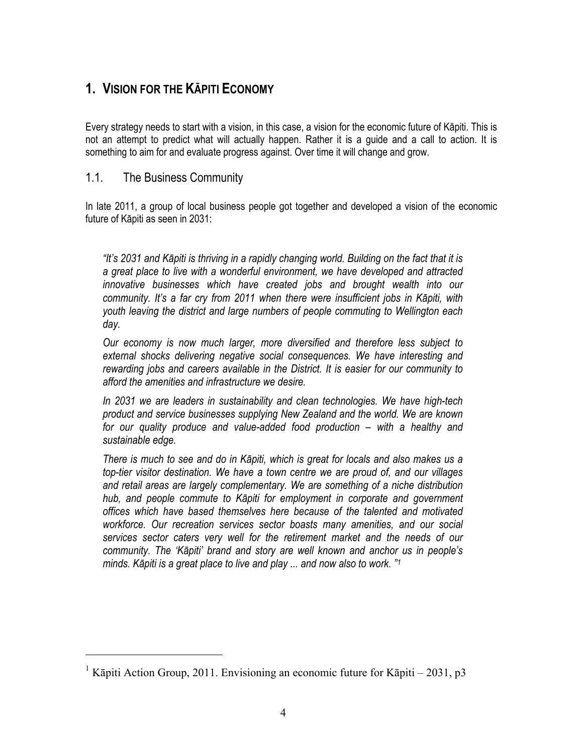# <span id="page-3-0"></span>**1. VISION FOR THE KĀPITI ECONOMY**

Every strategy needs to start with a vision, in this case, a vision for the economic future of Kāpiti. This is not an attempt to predict what will actually happen. Rather it is a guide and a call to action. It is something to aim for and evaluate progress against. Over time it will change and grow.

### <span id="page-3-1"></span>1.1. The Business Community

 $\overline{a}$ 

In late 2011, a group of local business people got together and developed a vision of the economic future of Kāpiti as seen in 2031:

*"It's 2031 and Kāpiti is thriving in a rapidly changing world. Building on the fact that it is a great place to live with a wonderful environment, we have developed and attracted innovative businesses which have created jobs and brought wealth into our community. It's a far cry from 2011 when there were insufficient jobs in Kāpiti, with youth leaving the district and large numbers of people commuting to Wellington each day.* 

*Our economy is now much larger, more diversified and therefore less subject to external shocks delivering negative social consequences. We have interesting and rewarding jobs and careers available in the District. It is easier for our community to afford the amenities and infrastructure we desire.* 

*In 2031 we are leaders in sustainability and clean technologies. We have high-tech product and service businesses supplying New Zealand and the world. We are known for our quality produce and value-added food production – with a healthy and sustainable edge.* 

*There is much to see and do in Kāpiti, which is great for locals and also makes us a top-tier visitor destination. We have a town centre we are proud of, and our villages and retail areas are largely complementary. We are something of a niche distribution hub, and people commute to Kāpiti for employment in corporate and government offices which have based themselves here because of the talented and motivated workforce. Our recreation services sector boasts many amenities, and our social services sector caters very well for the retirement market and the needs of our community. The 'Kāpiti' brand and story are well known and anchor us in people's minds. Kāpiti is a great place to live and play ... and now also to work. ["1](#page-3-2)* 

<span id="page-3-2"></span><sup>&</sup>lt;sup>1</sup> Kāpiti Action Group, 2011. Envisioning an economic future for Kāpiti – 2031, p3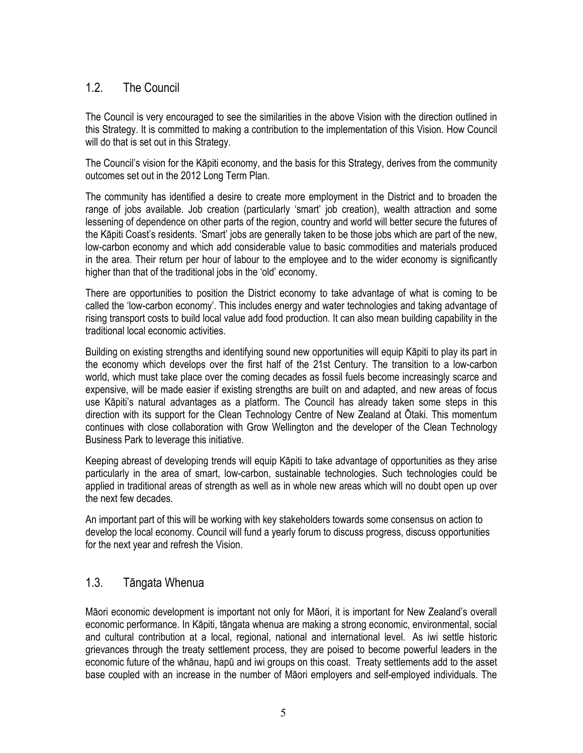## <span id="page-4-0"></span>1.2. The Council

The Council is very encouraged to see the similarities in the above Vision with the direction outlined in this Strategy. It is committed to making a contribution to the implementation of this Vision. How Council will do that is set out in this Strategy.

The Council's vision for the Kāpiti economy, and the basis for this Strategy, derives from the community outcomes set out in the 2012 Long Term Plan.

The community has identified a desire to create more employment in the District and to broaden the range of jobs available. Job creation (particularly 'smart' job creation), wealth attraction and some lessening of dependence on other parts of the region, country and world will better secure the futures of the Kāpiti Coast's residents. 'Smart' jobs are generally taken to be those jobs which are part of the new, low-carbon economy and which add considerable value to basic commodities and materials produced in the area. Their return per hour of labour to the employee and to the wider economy is significantly higher than that of the traditional jobs in the 'old' economy.

There are opportunities to position the District economy to take advantage of what is coming to be called the 'low-carbon economy'. This includes energy and water technologies and taking advantage of rising transport costs to build local value add food production. It can also mean building capability in the traditional local economic activities.

Building on existing strengths and identifying sound new opportunities will equip Kāpiti to play its part in the economy which develops over the first half of the 21st Century. The transition to a low-carbon world, which must take place over the coming decades as fossil fuels become increasingly scarce and expensive, will be made easier if existing strengths are built on and adapted, and new areas of focus use Kāpiti's natural advantages as a platform. The Council has already taken some steps in this direction with its support for the Clean Technology Centre of New Zealand at Ōtaki. This momentum continues with close collaboration with Grow Wellington and the developer of the Clean Technology Business Park to leverage this initiative.

Keeping abreast of developing trends will equip Kāpiti to take advantage of opportunities as they arise particularly in the area of smart, low-carbon, sustainable technologies. Such technologies could be applied in traditional areas of strength as well as in whole new areas which will no doubt open up over the next few decades.

An important part of this will be working with key stakeholders towards some consensus on action to develop the local economy. Council will fund a yearly forum to discuss progress, discuss opportunities for the next year and refresh the Vision.

### <span id="page-4-1"></span>1.3. Tāngata Whenua

Māori economic development is important not only for Māori, it is important for New Zealand's overall economic performance. In Kāpiti, tāngata whenua are making a strong economic, environmental, social and cultural contribution at a local, regional, national and international level. As iwi settle historic grievances through the treaty settlement process, they are poised to become powerful leaders in the economic future of the whānau, hapū and iwi groups on this coast. Treaty settlements add to the asset base coupled with an increase in the number of Māori employers and self-employed individuals. The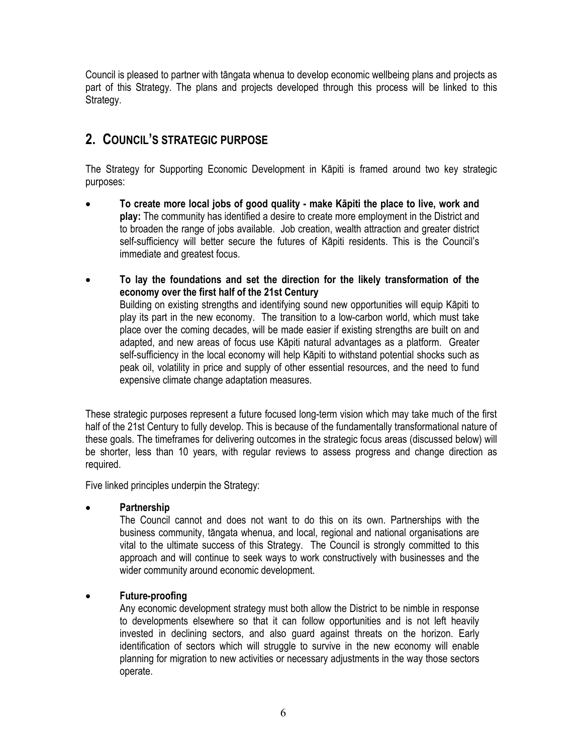Council is pleased to partner with tāngata whenua to develop economic wellbeing plans and projects as part of this Strategy. The plans and projects developed through this process will be linked to this Strategy.

# <span id="page-5-0"></span>**2. COUNCIL'S STRATEGIC PURPOSE**

The Strategy for Supporting Economic Development in Kāpiti is framed around two key strategic purposes:

- **To create more local jobs of good quality make Kāpiti the place to live, work and play:** The community has identified a desire to create more employment in the District and to broaden the range of jobs available. Job creation, wealth attraction and greater district self-sufficiency will better secure the futures of Kāpiti residents. This is the Council's immediate and greatest focus.
- **To lay the foundations and set the direction for the likely transformation of the economy over the first half of the 21st Century**  Building on existing strengths and identifying sound new opportunities will equip Kāpiti to play its part in the new economy. The transition to a low-carbon world, which must take place over the coming decades, will be made easier if existing strengths are built on and adapted, and new areas of focus use Kāpiti natural advantages as a platform. Greater self-sufficiency in the local economy will help Kāpiti to withstand potential shocks such as peak oil, volatility in price and supply of other essential resources, and the need to fund expensive climate change adaptation measures.

These strategic purposes represent a future focused long-term vision which may take much of the first half of the 21st Century to fully develop. This is because of the fundamentally transformational nature of these goals. The timeframes for delivering outcomes in the strategic focus areas (discussed below) will be shorter, less than 10 years, with regular reviews to assess progress and change direction as required.

Five linked principles underpin the Strategy:

#### **Partnership**

The Council cannot and does not want to do this on its own. Partnerships with the business community, tāngata whenua, and local, regional and national organisations are vital to the ultimate success of this Strategy. The Council is strongly committed to this approach and will continue to seek ways to work constructively with businesses and the wider community around economic development.

#### **Future-proofing**

Any economic development strategy must both allow the District to be nimble in response to developments elsewhere so that it can follow opportunities and is not left heavily invested in declining sectors, and also guard against threats on the horizon. Early identification of sectors which will struggle to survive in the new economy will enable planning for migration to new activities or necessary adjustments in the way those sectors operate.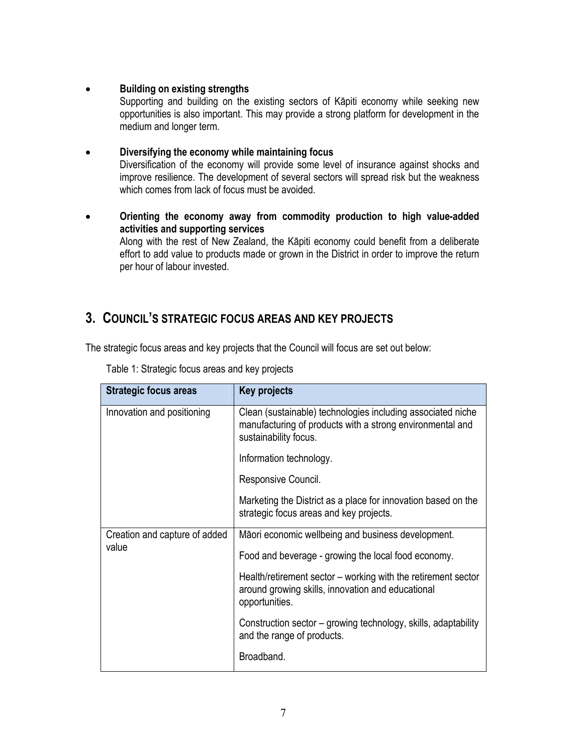#### **Building on existing strengths**

Supporting and building on the existing sectors of Kāpiti economy while seeking new opportunities is also important. This may provide a strong platform for development in the medium and longer term.

#### **Diversifying the economy while maintaining focus**  Diversification of the economy will provide some level of insurance against shocks and improve resilience. The development of several sectors will spread risk but the weakness which comes from lack of focus must be avoided.

 **Orienting the economy away from commodity production to high value-added activities and supporting services**  Along with the rest of New Zealand, the Kāpiti economy could benefit from a deliberate effort to add value to products made or grown in the District in order to improve the return per hour of labour invested.

# <span id="page-6-0"></span>**3. COUNCIL'S STRATEGIC FOCUS AREAS AND KEY PROJECTS**

The strategic focus areas and key projects that the Council will focus are set out below:

| <b>Strategic focus areas</b>           | Key projects                                                                                                                                      |
|----------------------------------------|---------------------------------------------------------------------------------------------------------------------------------------------------|
| Innovation and positioning             | Clean (sustainable) technologies including associated niche<br>manufacturing of products with a strong environmental and<br>sustainability focus. |
|                                        | Information technology.                                                                                                                           |
|                                        | Responsive Council.                                                                                                                               |
|                                        | Marketing the District as a place for innovation based on the<br>strategic focus areas and key projects.                                          |
| Creation and capture of added<br>value | Māori economic wellbeing and business development.                                                                                                |
|                                        | Food and beverage - growing the local food economy.                                                                                               |
|                                        | Health/retirement sector – working with the retirement sector<br>around growing skills, innovation and educational<br>opportunities.              |
|                                        | Construction sector – growing technology, skills, adaptability<br>and the range of products.                                                      |
|                                        | Broadband.                                                                                                                                        |

Table 1: Strategic focus areas and key projects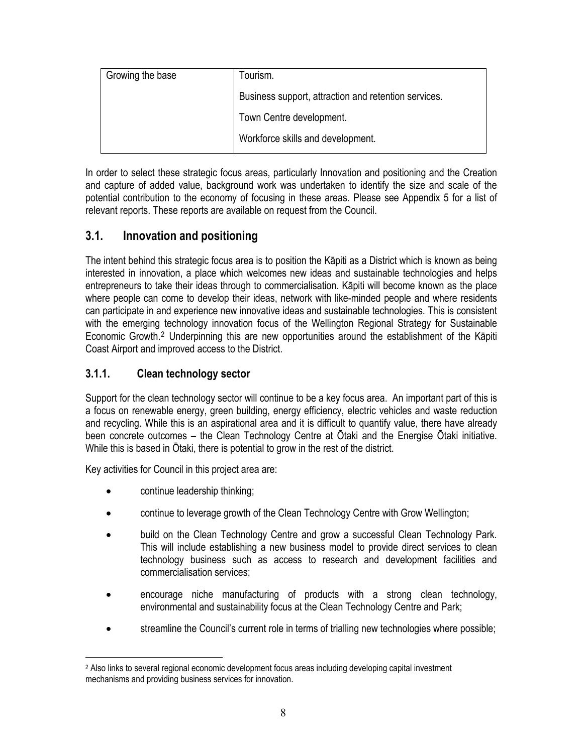| Growing the base | Tourism.                                             |
|------------------|------------------------------------------------------|
|                  | Business support, attraction and retention services. |
|                  | Town Centre development.                             |
|                  | Workforce skills and development.                    |

In order to select these strategic focus areas, particularly Innovation and positioning and the Creation and capture of added value, background work was undertaken to identify the size and scale of the potential contribution to the economy of focusing in these areas. Please see Appendix 5 for a list of relevant reports. These reports are available on request from the Council.

# <span id="page-7-0"></span>**3.1. Innovation and positioning**

The intent behind this strategic focus area is to position the Kāpiti as a District which is known as being interested in innovation, a place which welcomes new ideas and sustainable technologies and helps entrepreneurs to take their ideas through to commercialisation. Kāpiti will become known as the place where people can come to develop their ideas, network with like-minded people and where residents can participate in and experience new innovative ideas and sustainable technologies. This is consistent with the emerging technology innovation focus of the Wellington Regional Strategy for Sustainable Economic Growth.[2](#page-7-2) Underpinning this are new opportunities around the establishment of the Kāpiti Coast Airport and improved access to the District.

### <span id="page-7-1"></span>**3.1.1. Clean technology sector**

Support for the clean technology sector will continue to be a key focus area. An important part of this is a focus on renewable energy, green building, energy efficiency, electric vehicles and waste reduction and recycling. While this is an aspirational area and it is difficult to quantify value, there have already been concrete outcomes – the Clean Technology Centre at Ōtaki and the Energise Ōtaki initiative. While this is based in Ōtaki, there is potential to grow in the rest of the district.

Key activities for Council in this project area are:

continue leadership thinking;

 $\overline{a}$ 

- continue to leverage growth of the Clean Technology Centre with Grow Wellington;
- build on the Clean Technology Centre and grow a successful Clean Technology Park. This will include establishing a new business model to provide direct services to clean technology business such as access to research and development facilities and commercialisation services;
- encourage niche manufacturing of products with a strong clean technology, environmental and sustainability focus at the Clean Technology Centre and Park;
- streamline the Council's current role in terms of trialling new technologies where possible;

<span id="page-7-2"></span><sup>&</sup>lt;sup>2</sup> Also links to several regional economic development focus areas including developing capital investment mechanisms and providing business services for innovation.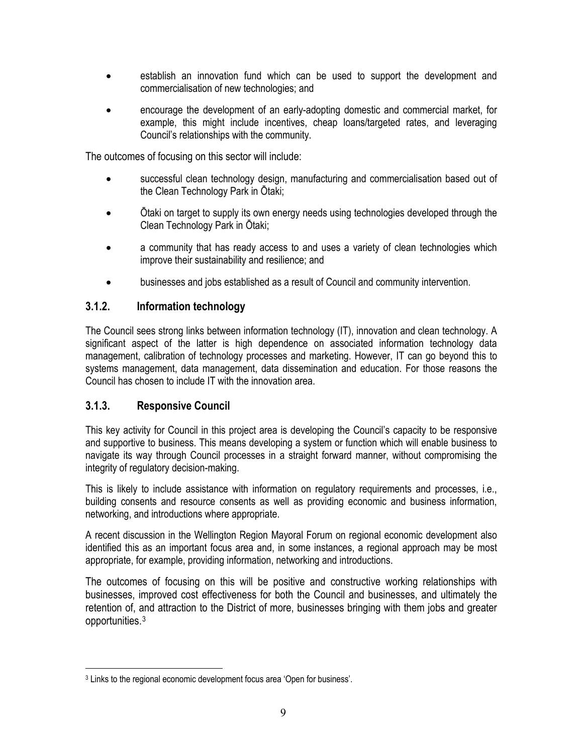- establish an innovation fund which can be used to support the development and commercialisation of new technologies; and
- encourage the development of an early-adopting domestic and commercial market, for example, this might include incentives, cheap loans/targeted rates, and leveraging Council's relationships with the community.

The outcomes of focusing on this sector will include:

- successful clean technology design, manufacturing and commercialisation based out of the Clean Technology Park in Ōtaki;
- Ōtaki on target to supply its own energy needs using technologies developed through the Clean Technology Park in Ōtaki;
- a community that has ready access to and uses a variety of clean technologies which improve their sustainability and resilience; and
- businesses and jobs established as a result of Council and community intervention.

#### <span id="page-8-0"></span>**3.1.2. Information technology**

The Council sees strong links between information technology (IT), innovation and clean technology. A significant aspect of the latter is high dependence on associated information technology data management, calibration of technology processes and marketing. However, IT can go beyond this to systems management, data management, data dissemination and education. For those reasons the Council has chosen to include IT with the innovation area.

#### <span id="page-8-1"></span>**3.1.3. Responsive Council**

 $\overline{a}$ 

This key activity for Council in this project area is developing the Council's capacity to be responsive and supportive to business. This means developing a system or function which will enable business to navigate its way through Council processes in a straight forward manner, without compromising the integrity of regulatory decision-making.

This is likely to include assistance with information on regulatory requirements and processes, i.e., building consents and resource consents as well as providing economic and business information, networking, and introductions where appropriate.

A recent discussion in the Wellington Region Mayoral Forum on regional economic development also identified this as an important focus area and, in some instances, a regional approach may be most appropriate, for example, providing information, networking and introductions.

The outcomes of focusing on this will be positive and constructive working relationships with businesses, improved cost effectiveness for both the Council and businesses, and ultimately the retention of, and attraction to the District of more, businesses bringing with them jobs and greater opportunities.[3](#page-8-2)

<span id="page-8-2"></span><sup>3</sup> Links to the regional economic development focus area 'Open for business'.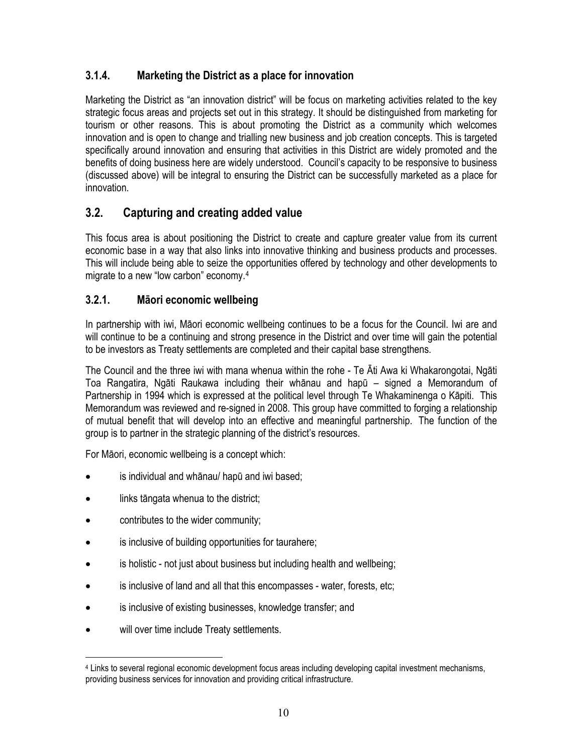## <span id="page-9-0"></span>**3.1.4. Marketing the District as a place for innovation**

Marketing the District as "an innovation district" will be focus on marketing activities related to the key strategic focus areas and projects set out in this strategy. It should be distinguished from marketing for tourism or other reasons. This is about promoting the District as a community which welcomes innovation and is open to change and trialling new business and job creation concepts. This is targeted specifically around innovation and ensuring that activities in this District are widely promoted and the benefits of doing business here are widely understood. Council's capacity to be responsive to business (discussed above) will be integral to ensuring the District can be successfully marketed as a place for innovation.

# <span id="page-9-1"></span>**3.2. Capturing and creating added value**

This focus area is about positioning the District to create and capture greater value from its current economic base in a way that also links into innovative thinking and business products and processes. This will include being able to seize the opportunities offered by technology and other developments to migrate to a new "low carbon" economy.[4](#page-9-3)

### <span id="page-9-2"></span>**3.2.1. Māori economic wellbeing**

In partnership with iwi, Māori economic wellbeing continues to be a focus for the Council. Iwi are and will continue to be a continuing and strong presence in the District and over time will gain the potential to be investors as Treaty settlements are completed and their capital base strengthens.

The Council and the three iwi with mana whenua within the rohe - Te Āti Awa ki Whakarongotai, Ngāti Toa Rangatira, Ngāti Raukawa including their whānau and hapū – signed a Memorandum of Partnership in 1994 which is expressed at the political level through Te Whakaminenga o Kāpiti. This Memorandum was reviewed and re-signed in 2008. This group have committed to forging a relationship of mutual benefit that will develop into an effective and meaningful partnership. The function of the group is to partner in the strategic planning of the district's resources.

For Māori, economic wellbeing is a concept which:

- is individual and whānau/ hapū and iwi based;
- links tāngata whenua to the district;
- contributes to the wider community;
- is inclusive of building opportunities for taurahere;
- is holistic not just about business but including health and wellbeing;
- is inclusive of land and all that this encompasses water, forests, etc;
- is inclusive of existing businesses, knowledge transfer; and
- will over time include Treaty settlements.

 $\overline{a}$ 

<span id="page-9-3"></span><sup>4</sup> Links to several regional economic development focus areas including developing capital investment mechanisms, providing business services for innovation and providing critical infrastructure.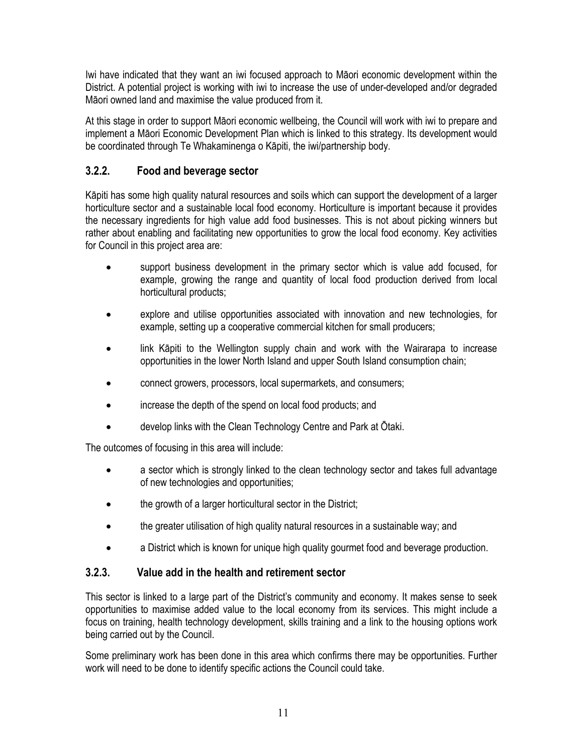Iwi have indicated that they want an iwi focused approach to Māori economic development within the District. A potential project is working with iwi to increase the use of under-developed and/or degraded Māori owned land and maximise the value produced from it.

At this stage in order to support Māori economic wellbeing, the Council will work with iwi to prepare and implement a Māori Economic Development Plan which is linked to this strategy. Its development would be coordinated through Te Whakaminenga o Kāpiti, the iwi/partnership body.

### <span id="page-10-0"></span>**3.2.2. Food and beverage sector**

Kāpiti has some high quality natural resources and soils which can support the development of a larger horticulture sector and a sustainable local food economy. Horticulture is important because it provides the necessary ingredients for high value add food businesses. This is not about picking winners but rather about enabling and facilitating new opportunities to grow the local food economy. Key activities for Council in this project area are:

- support business development in the primary sector which is value add focused, for example, growing the range and quantity of local food production derived from local horticultural products;
- explore and utilise opportunities associated with innovation and new technologies, for example, setting up a cooperative commercial kitchen for small producers;
- link Kāpiti to the Wellington supply chain and work with the Wairarapa to increase opportunities in the lower North Island and upper South Island consumption chain;
- connect growers, processors, local supermarkets, and consumers;
- increase the depth of the spend on local food products; and
- develop links with the Clean Technology Centre and Park at Ōtaki.

The outcomes of focusing in this area will include:

- a sector which is strongly linked to the clean technology sector and takes full advantage of new technologies and opportunities;
- the growth of a larger horticultural sector in the District;
- the greater utilisation of high quality natural resources in a sustainable way; and
- a District which is known for unique high quality gourmet food and beverage production.

### <span id="page-10-1"></span>**3.2.3. Value add in the health and retirement sector**

This sector is linked to a large part of the District's community and economy. It makes sense to seek opportunities to maximise added value to the local economy from its services. This might include a focus on training, health technology development, skills training and a link to the housing options work being carried out by the Council.

Some preliminary work has been done in this area which confirms there may be opportunities. Further work will need to be done to identify specific actions the Council could take.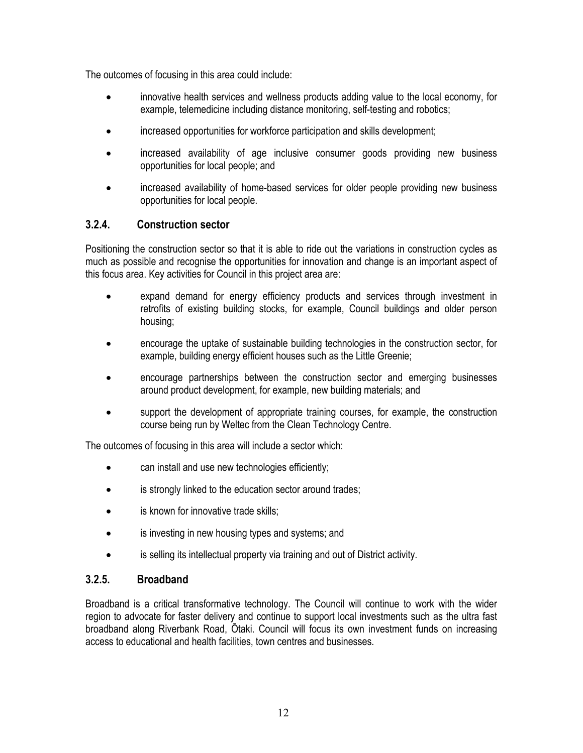The outcomes of focusing in this area could include:

- innovative health services and wellness products adding value to the local economy, for example, telemedicine including distance monitoring, self-testing and robotics;
- increased opportunities for workforce participation and skills development;
- increased availability of age inclusive consumer goods providing new business opportunities for local people; and
- increased availability of home-based services for older people providing new business opportunities for local people.

#### <span id="page-11-0"></span>**3.2.4. Construction sector**

Positioning the construction sector so that it is able to ride out the variations in construction cycles as much as possible and recognise the opportunities for innovation and change is an important aspect of this focus area. Key activities for Council in this project area are:

- expand demand for energy efficiency products and services through investment in retrofits of existing building stocks, for example, Council buildings and older person housing;
- encourage the uptake of sustainable building technologies in the construction sector, for example, building energy efficient houses such as the Little Greenie;
- encourage partnerships between the construction sector and emerging businesses around product development, for example, new building materials; and
- support the development of appropriate training courses, for example, the construction course being run by Weltec from the Clean Technology Centre.

The outcomes of focusing in this area will include a sector which:

- can install and use new technologies efficiently;
- is strongly linked to the education sector around trades;
- is known for innovative trade skills;
- is investing in new housing types and systems; and
- is selling its intellectual property via training and out of District activity.

### <span id="page-11-1"></span>**3.2.5. Broadband**

Broadband is a critical transformative technology. The Council will continue to work with the wider region to advocate for faster delivery and continue to support local investments such as the ultra fast broadband along Riverbank Road, Ōtaki. Council will focus its own investment funds on increasing access to educational and health facilities, town centres and businesses.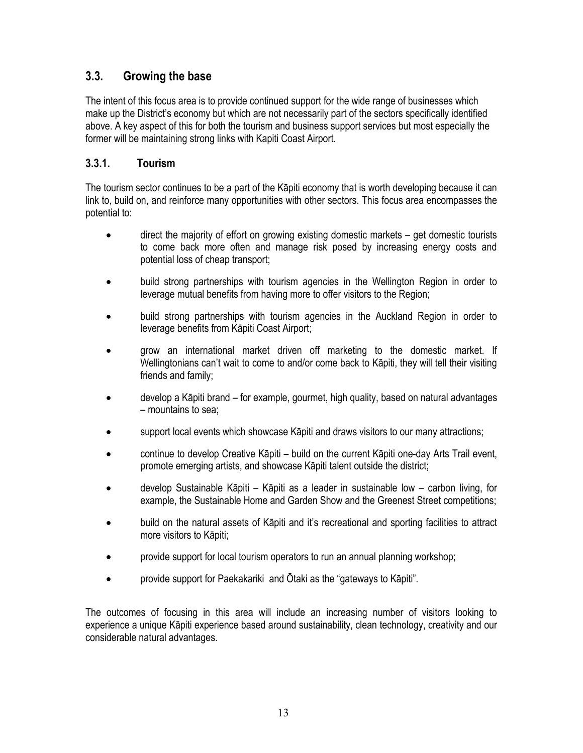# <span id="page-12-0"></span>**3.3. Growing the base**

The intent of this focus area is to provide continued support for the wide range of businesses which make up the District's economy but which are not necessarily part of the sectors specifically identified above. A key aspect of this for both the tourism and business support services but most especially the former will be maintaining strong links with Kapiti Coast Airport.

### <span id="page-12-1"></span>**3.3.1. Tourism**

The tourism sector continues to be a part of the Kāpiti economy that is worth developing because it can link to, build on, and reinforce many opportunities with other sectors. This focus area encompasses the potential to:

- direct the majority of effort on growing existing domestic markets get domestic tourists to come back more often and manage risk posed by increasing energy costs and potential loss of cheap transport;
- build strong partnerships with tourism agencies in the Wellington Region in order to leverage mutual benefits from having more to offer visitors to the Region;
- build strong partnerships with tourism agencies in the Auckland Region in order to leverage benefits from Kāpiti Coast Airport;
- grow an international market driven off marketing to the domestic market. If Wellingtonians can't wait to come to and/or come back to Kāpiti, they will tell their visiting friends and family;
- develop a Kāpiti brand for example, gourmet, high quality, based on natural advantages – mountains to sea;
- support local events which showcase Kāpiti and draws visitors to our many attractions;
- continue to develop Creative Kāpiti build on the current Kāpiti one-day Arts Trail event, promote emerging artists, and showcase Kāpiti talent outside the district;
- develop Sustainable Kāpiti Kāpiti as a leader in sustainable low carbon living, for example, the Sustainable Home and Garden Show and the Greenest Street competitions;
- build on the natural assets of Kāpiti and it's recreational and sporting facilities to attract more visitors to Kāpiti;
- provide support for local tourism operators to run an annual planning workshop;
- provide support for Paekakariki and Ōtaki as the "gateways to Kāpiti".

The outcomes of focusing in this area will include an increasing number of visitors looking to experience a unique Kāpiti experience based around sustainability, clean technology, creativity and our considerable natural advantages.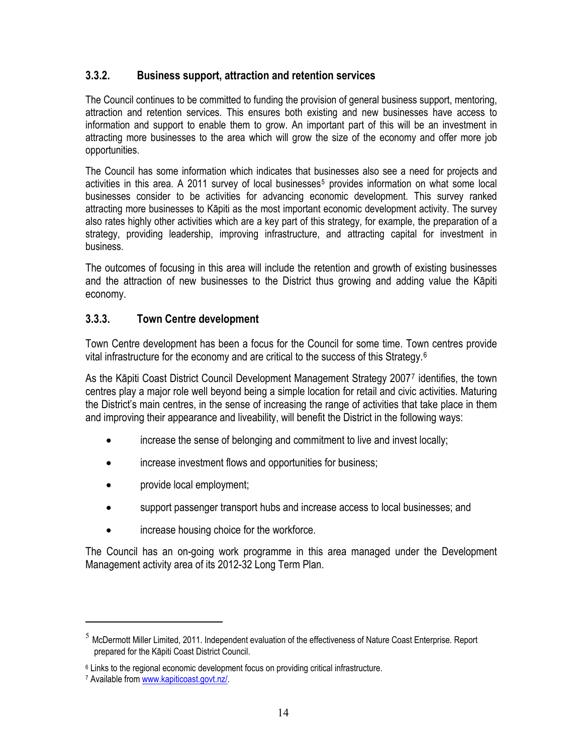#### <span id="page-13-0"></span>**3.3.2. Business support, attraction and retention services**

The Council continues to be committed to funding the provision of general business support, mentoring, attraction and retention services. This ensures both existing and new businesses have access to information and support to enable them to grow. An important part of this will be an investment in attracting more businesses to the area which will grow the size of the economy and offer more job opportunities.

The Council has some information which indicates that businesses also see a need for projects and activities in this area. A 2011 survey of local businesses<sup>[5](#page-13-2)</sup> provides information on what some local businesses consider to be activities for advancing economic development. This survey ranked attracting more businesses to Kāpiti as the most important economic development activity. The survey also rates highly other activities which are a key part of this strategy, for example, the preparation of a strategy, providing leadership, improving infrastructure, and attracting capital for investment in business.

The outcomes of focusing in this area will include the retention and growth of existing businesses and the attraction of new businesses to the District thus growing and adding value the Kāpiti economy.

### <span id="page-13-1"></span>**3.3.3. Town Centre development**

Town Centre development has been a focus for the Council for some time. Town centres provide vital infrastructure for the economy and are critical to the success of this Strategy.[6](#page-13-3)

As the Kāpiti Coast District Council Development Management Strategy 2007[7](#page-13-4) identifies, the town centres play a major role well beyond being a simple location for retail and civic activities. Maturing the District's main centres, in the sense of increasing the range of activities that take place in them and improving their appearance and liveability, will benefit the District in the following ways:

- increase the sense of belonging and commitment to live and invest locally;
- increase investment flows and opportunities for business;
- provide local employment;
- support passenger transport hubs and increase access to local businesses; and
- increase housing choice for the workforce.

The Council has an on-going work programme in this area managed under the Development Management activity area of its 2012-32 Long Term Plan.

 $\overline{a}$ 

<span id="page-13-2"></span> $<sup>5</sup>$  McDermott Miller Limited, 2011. Independent evaluation of the effectiveness of Nature Coast Enterprise. Report</sup> prepared for the Kāpiti Coast District Council.

<span id="page-13-3"></span><sup>&</sup>lt;sup>6</sup> Links to the regional economic development focus on providing critical infrastructure.

<span id="page-13-4"></span><sup>7</sup> Available from [www.kapiticoast.govt.nz/](http://www.kapiticoast.govt.nz/).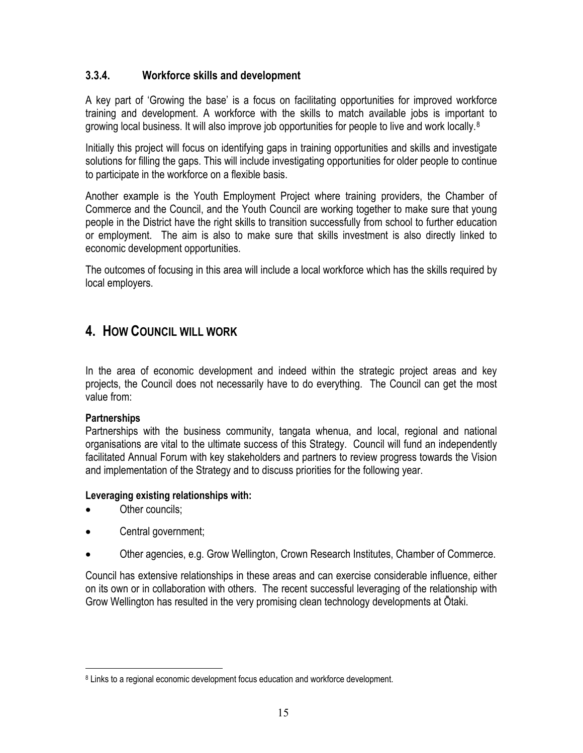### <span id="page-14-0"></span>**3.3.4. Workforce skills and development**

A key part of 'Growing the base' is a focus on facilitating opportunities for improved workforce training and development. A workforce with the skills to match available jobs is important to growing local business. It will also improve job opportunities for people to live and work locally.<sup>[8](#page-14-2)</sup>

Initially this project will focus on identifying gaps in training opportunities and skills and investigate solutions for filling the gaps. This will include investigating opportunities for older people to continue to participate in the workforce on a flexible basis.

Another example is the Youth Employment Project where training providers, the Chamber of Commerce and the Council, and the Youth Council are working together to make sure that young people in the District have the right skills to transition successfully from school to further education or employment. The aim is also to make sure that skills investment is also directly linked to economic development opportunities.

The outcomes of focusing in this area will include a local workforce which has the skills required by local employers.

# <span id="page-14-1"></span>**4. HOW COUNCIL WILL WORK**

In the area of economic development and indeed within the strategic project areas and key projects, the Council does not necessarily have to do everything. The Council can get the most value from:

#### **Partnerships**

 $\overline{a}$ 

Partnerships with the business community, tangata whenua, and local, regional and national organisations are vital to the ultimate success of this Strategy. Council will fund an independently facilitated Annual Forum with key stakeholders and partners to review progress towards the Vision and implementation of the Strategy and to discuss priorities for the following year.

#### **Leveraging existing relationships with:**

- Other councils:
- Central government;
- Other agencies, e.g. Grow Wellington, Crown Research Institutes, Chamber of Commerce.

Council has extensive relationships in these areas and can exercise considerable influence, either on its own or in collaboration with others. The recent successful leveraging of the relationship with Grow Wellington has resulted in the very promising clean technology developments at Ōtaki.

<span id="page-14-2"></span><sup>8</sup> Links to a regional economic development focus education and workforce development.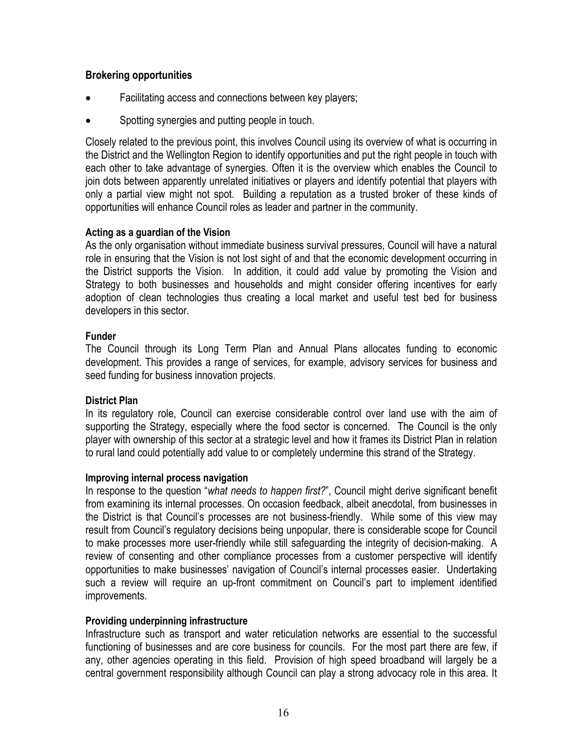#### **Brokering opportunities**

- Facilitating access and connections between key players;
- Spotting synergies and putting people in touch.

Closely related to the previous point, this involves Council using its overview of what is occurring in the District and the Wellington Region to identify opportunities and put the right people in touch with each other to take advantage of synergies. Often it is the overview which enables the Council to join dots between apparently unrelated initiatives or players and identify potential that players with only a partial view might not spot. Building a reputation as a trusted broker of these kinds of opportunities will enhance Council roles as leader and partner in the community.

#### **Acting as a guardian of the Vision**

As the only organisation without immediate business survival pressures, Council will have a natural role in ensuring that the Vision is not lost sight of and that the economic development occurring in the District supports the Vision. In addition, it could add value by promoting the Vision and Strategy to both businesses and households and might consider offering incentives for early adoption of clean technologies thus creating a local market and useful test bed for business developers in this sector.

#### **Funder**

The Council through its Long Term Plan and Annual Plans allocates funding to economic development. This provides a range of services, for example, advisory services for business and seed funding for business innovation projects.

#### **District Plan**

In its regulatory role, Council can exercise considerable control over land use with the aim of supporting the Strategy, especially where the food sector is concerned. The Council is the only player with ownership of this sector at a strategic level and how it frames its District Plan in relation to rural land could potentially add value to or completely undermine this strand of the Strategy.

#### **Improving internal process navigation**

In response to the question "*what needs to happen first?*", Council might derive significant benefit from examining its internal processes. On occasion feedback, albeit anecdotal, from businesses in the District is that Council's processes are not business-friendly. While some of this view may result from Council's regulatory decisions being unpopular, there is considerable scope for Council to make processes more user-friendly while still safeguarding the integrity of decision-making. A review of consenting and other compliance processes from a customer perspective will identify opportunities to make businesses' navigation of Council's internal processes easier. Undertaking such a review will require an up-front commitment on Council's part to implement identified improvements.

#### **Providing underpinning infrastructure**

Infrastructure such as transport and water reticulation networks are essential to the successful functioning of businesses and are core business for councils. For the most part there are few, if any, other agencies operating in this field. Provision of high speed broadband will largely be a central government responsibility although Council can play a strong advocacy role in this area. It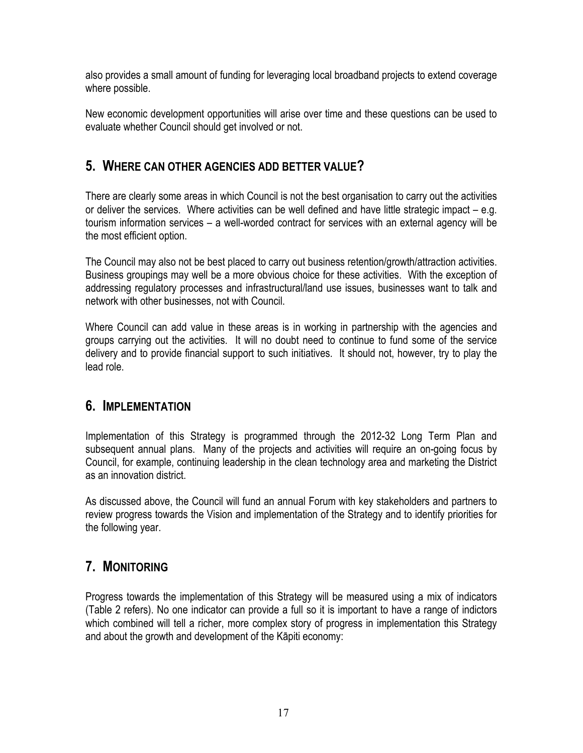also provides a small amount of funding for leveraging local broadband projects to extend coverage where possible.

New economic development opportunities will arise over time and these questions can be used to evaluate whether Council should get involved or not.

# <span id="page-16-0"></span>**5. WHERE CAN OTHER AGENCIES ADD BETTER VALUE?**

There are clearly some areas in which Council is not the best organisation to carry out the activities or deliver the services. Where activities can be well defined and have little strategic impact – e.g. tourism information services – a well-worded contract for services with an external agency will be the most efficient option.

The Council may also not be best placed to carry out business retention/growth/attraction activities. Business groupings may well be a more obvious choice for these activities. With the exception of addressing regulatory processes and infrastructural/land use issues, businesses want to talk and network with other businesses, not with Council.

Where Council can add value in these areas is in working in partnership with the agencies and groups carrying out the activities. It will no doubt need to continue to fund some of the service delivery and to provide financial support to such initiatives. It should not, however, try to play the lead role.

# <span id="page-16-1"></span>**6. IMPLEMENTATION**

Implementation of this Strategy is programmed through the 2012-32 Long Term Plan and subsequent annual plans. Many of the projects and activities will require an on-going focus by Council, for example, continuing leadership in the clean technology area and marketing the District as an innovation district.

As discussed above, the Council will fund an annual Forum with key stakeholders and partners to review progress towards the Vision and implementation of the Strategy and to identify priorities for the following year.

# <span id="page-16-2"></span>**7. MONITORING**

Progress towards the implementation of this Strategy will be measured using a mix of indicators (Table 2 refers). No one indicator can provide a full so it is important to have a range of indictors which combined will tell a richer, more complex story of progress in implementation this Strategy and about the growth and development of the Kāpiti economy: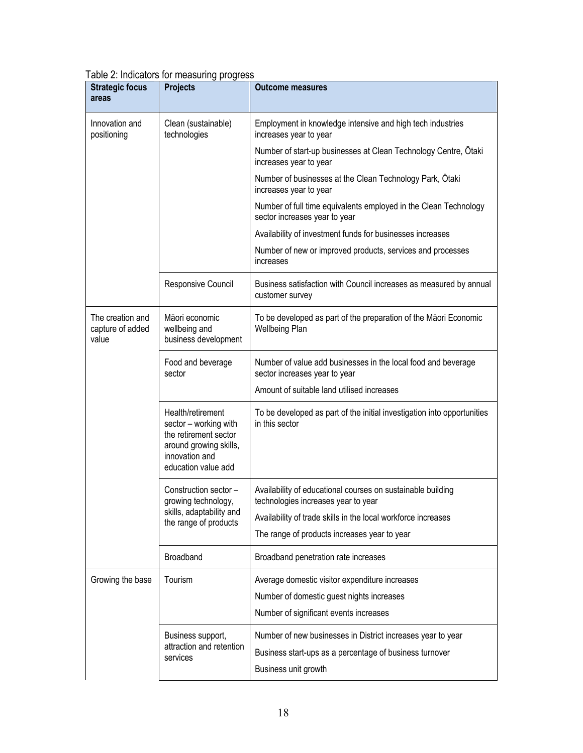| <b>Strategic focus</b><br>areas               | <b>Projects</b>                                                                                                                        | <b>Outcome measures</b>                                                                            |
|-----------------------------------------------|----------------------------------------------------------------------------------------------------------------------------------------|----------------------------------------------------------------------------------------------------|
| Innovation and<br>positioning                 | Clean (sustainable)<br>technologies                                                                                                    | Employment in knowledge intensive and high tech industries<br>increases year to year               |
|                                               |                                                                                                                                        | Number of start-up businesses at Clean Technology Centre, Otaki<br>increases year to year          |
|                                               |                                                                                                                                        | Number of businesses at the Clean Technology Park, Otaki<br>increases year to year                 |
|                                               |                                                                                                                                        | Number of full time equivalents employed in the Clean Technology<br>sector increases year to year  |
|                                               |                                                                                                                                        | Availability of investment funds for businesses increases                                          |
|                                               |                                                                                                                                        | Number of new or improved products, services and processes<br>increases                            |
|                                               | Responsive Council                                                                                                                     | Business satisfaction with Council increases as measured by annual<br>customer survey              |
| The creation and<br>capture of added<br>value | Māori economic<br>wellbeing and<br>business development                                                                                | To be developed as part of the preparation of the Māori Economic<br>Wellbeing Plan                 |
|                                               | Food and beverage<br>sector                                                                                                            | Number of value add businesses in the local food and beverage<br>sector increases year to year     |
|                                               |                                                                                                                                        | Amount of suitable land utilised increases                                                         |
|                                               | Health/retirement<br>sector - working with<br>the retirement sector<br>around growing skills,<br>innovation and<br>education value add | To be developed as part of the initial investigation into opportunities<br>in this sector          |
|                                               | Construction sector -<br>growing technology,                                                                                           | Availability of educational courses on sustainable building<br>technologies increases year to year |
|                                               | skills, adaptability and<br>the range of products                                                                                      | Availability of trade skills in the local workforce increases                                      |
|                                               |                                                                                                                                        | The range of products increases year to year                                                       |
|                                               | Broadband                                                                                                                              | Broadband penetration rate increases                                                               |
| Growing the base                              | Tourism                                                                                                                                | Average domestic visitor expenditure increases                                                     |
|                                               |                                                                                                                                        | Number of domestic guest nights increases                                                          |
|                                               |                                                                                                                                        | Number of significant events increases                                                             |
|                                               | Business support,                                                                                                                      | Number of new businesses in District increases year to year                                        |
|                                               | attraction and retention<br>services                                                                                                   | Business start-ups as a percentage of business turnover                                            |
|                                               |                                                                                                                                        | Business unit growth                                                                               |

#### Table 2: Indicators for measuring progress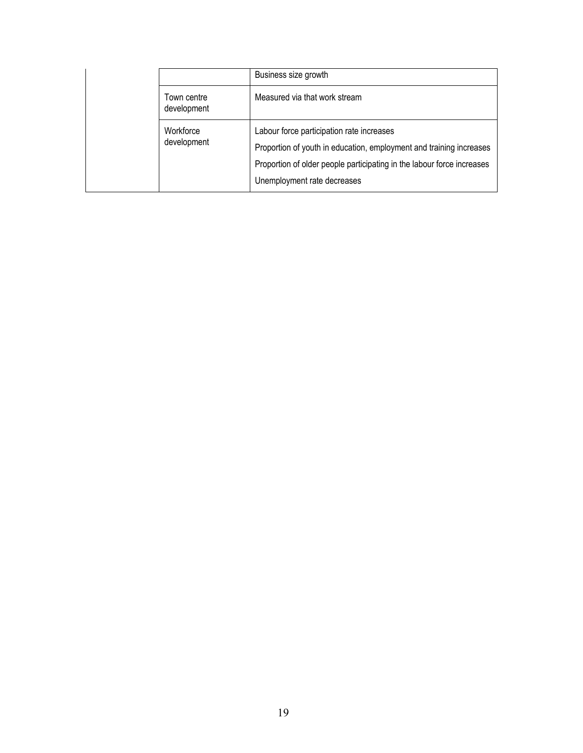|                            | Business size growth                                                                                                                                                                                                      |
|----------------------------|---------------------------------------------------------------------------------------------------------------------------------------------------------------------------------------------------------------------------|
| Town centre<br>development | Measured via that work stream                                                                                                                                                                                             |
| Workforce<br>development   | Labour force participation rate increases<br>Proportion of youth in education, employment and training increases<br>Proportion of older people participating in the labour force increases<br>Unemployment rate decreases |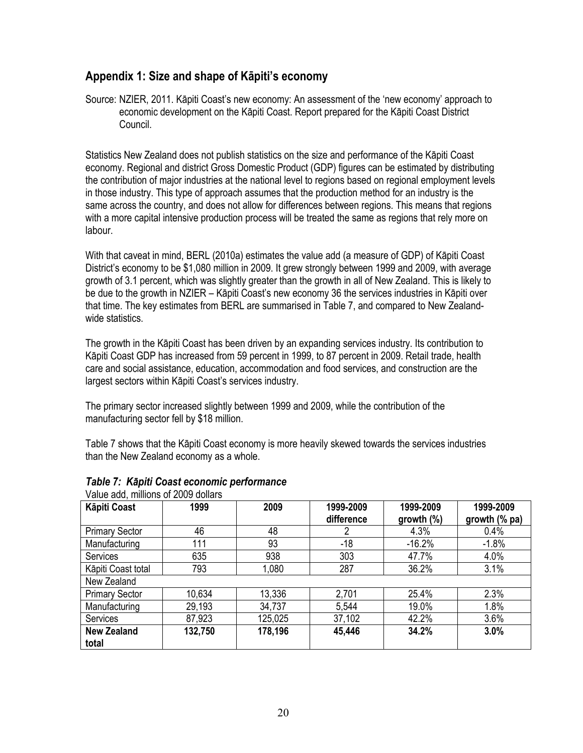### <span id="page-19-0"></span>**Appendix 1: Size and shape of Kāpiti's economy**

Source: NZIER, 2011. Kāpiti Coast's new economy: An assessment of the 'new economy' approach to economic development on the Kāpiti Coast. Report prepared for the Kāpiti Coast District Council.

Statistics New Zealand does not publish statistics on the size and performance of the Kāpiti Coast economy. Regional and district Gross Domestic Product (GDP) figures can be estimated by distributing the contribution of major industries at the national level to regions based on regional employment levels in those industry. This type of approach assumes that the production method for an industry is the same across the country, and does not allow for differences between regions. This means that regions with a more capital intensive production process will be treated the same as regions that rely more on labour.

With that caveat in mind, BERL (2010a) estimates the value add (a measure of GDP) of Kāpiti Coast District's economy to be \$1,080 million in 2009. It grew strongly between 1999 and 2009, with average growth of 3.1 percent, which was slightly greater than the growth in all of New Zealand. This is likely to be due to the growth in NZIER – Kāpiti Coast's new economy 36 the services industries in Kāpiti over that time. The key estimates from BERL are summarised in Table 7, and compared to New Zealandwide statistics.

The growth in the Kāpiti Coast has been driven by an expanding services industry. Its contribution to Kāpiti Coast GDP has increased from 59 percent in 1999, to 87 percent in 2009. Retail trade, health care and social assistance, education, accommodation and food services, and construction are the largest sectors within Kāpiti Coast's services industry.

The primary sector increased slightly between 1999 and 2009, while the contribution of the manufacturing sector fell by \$18 million.

Table 7 shows that the Kāpiti Coast economy is more heavily skewed towards the services industries than the New Zealand economy as a whole.

| Valut auu, Milliulis VI 2009 uvilais |         |         |                         |                            |                            |  |  |
|--------------------------------------|---------|---------|-------------------------|----------------------------|----------------------------|--|--|
| <b>Kāpiti Coast</b>                  | 1999    | 2009    | 1999-2009<br>difference | 1999-2009<br>growth $(\%)$ | 1999-2009<br>growth (% pa) |  |  |
| <b>Primary Sector</b>                | 46      | 48      |                         | 4.3%                       | 0.4%                       |  |  |
| Manufacturing                        | 111     | 93      | $-18$                   | $-16.2%$                   | $-1.8%$                    |  |  |
| <b>Services</b>                      | 635     | 938     | 303                     | 47.7%                      | 4.0%                       |  |  |
| Kāpiti Coast total                   | 793     | 1,080   | 287                     | 36.2%                      | 3.1%                       |  |  |
| New Zealand                          |         |         |                         |                            |                            |  |  |
| <b>Primary Sector</b>                | 10,634  | 13,336  | 2,701                   | 25.4%                      | 2.3%                       |  |  |
| Manufacturing                        | 29,193  | 34,737  | 5,544                   | 19.0%                      | 1.8%                       |  |  |
| Services                             | 87,923  | 125,025 | 37,102                  | 42.2%                      | 3.6%                       |  |  |
| <b>New Zealand</b>                   | 132,750 | 178,196 | 45,446                  | 34.2%                      | 3.0%                       |  |  |
| total                                |         |         |                         |                            |                            |  |  |

#### *Table 7: Kāpiti Coast economic performance* Value add, millions of 2009 dollars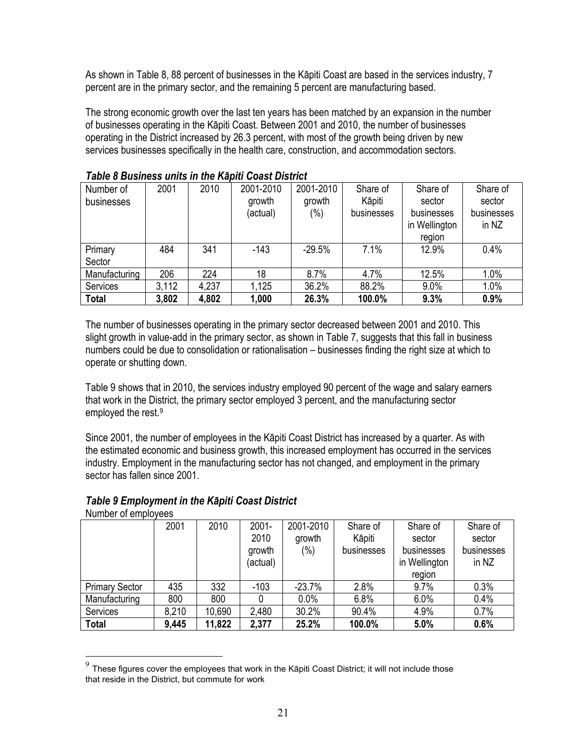As shown in Table 8, 88 percent of businesses in the Kāpiti Coast are based in the services industry, 7 percent are in the primary sector, and the remaining 5 percent are manufacturing based.

The strong economic growth over the last ten years has been matched by an expansion in the number of businesses operating in the Kāpiti Coast. Between 2001 and 2010, the number of businesses operating in the District increased by 26.3 percent, with most of the growth being driven by new services businesses specifically in the health care, construction, and accommodation sectors.

| , Gris S Duchtsco Gillio III |       |       |           |           |            |               |            |
|------------------------------|-------|-------|-----------|-----------|------------|---------------|------------|
| Number of                    | 2001  | 2010  | 2001-2010 | 2001-2010 | Share of   | Share of      | Share of   |
| businesses                   |       |       | growth    | growth    | Kāpiti     | sector        | sector     |
|                              |       |       | (actual)  | $(\%)$    | businesses | businesses    | businesses |
|                              |       |       |           |           |            | in Wellington | in NZ      |
|                              |       |       |           |           |            | region        |            |
| Primary                      | 484   | 341   | $-143$    | $-29.5%$  | 7.1%       | 12.9%         | 0.4%       |
| Sector                       |       |       |           |           |            |               |            |
| Manufacturing                | 206   | 224   | 18        | 8.7%      | 4.7%       | 12.5%         | 1.0%       |
| Services                     | 3,112 | 4,237 | 1,125     | 36.2%     | 88.2%      | 9.0%          | 1.0%       |
| <b>Total</b>                 | 3,802 | 4,802 | 1,000     | 26.3%     | 100.0%     | 9.3%          | 0.9%       |

*Table 8 Business units in the Kāpiti Coast District* 

The number of businesses operating in the primary sector decreased between 2001 and 2010. This slight growth in value-add in the primary sector, as shown in Table 7, suggests that this fall in business numbers could be due to consolidation or rationalisation – businesses finding the right size at which to operate or shutting down.

Table 9 shows that in 2010, the services industry employed 90 percent of the wage and salary earners that work in the District, the primary sector employed 3 percent, and the manufacturing sector employed the rest.[9](#page-20-0)

Since 2001, the number of employees in the Kāpiti Coast District has increased by a quarter. As with the estimated economic and business growth, this increased employment has occurred in the services industry. Employment in the manufacturing sector has not changed, and employment in the primary sector has fallen since 2001.

#### *Table 9 Employment in the Kāpiti Coast District*

Number of employees

 $\overline{a}$ 

|                       | 2001  | 2010   | $2001 -$ | 2001-2010 | Share of   | Share of      | Share of   |
|-----------------------|-------|--------|----------|-----------|------------|---------------|------------|
|                       |       |        | 2010     | growth    | Kāpiti     | sector        | sector     |
|                       |       |        | growth   | (%)       | businesses | businesses    | businesses |
|                       |       |        | (actual) |           |            | in Wellington | in NZ      |
|                       |       |        |          |           |            | region        |            |
| <b>Primary Sector</b> | 435   | 332    | $-103$   | $-23.7%$  | 2.8%       | 9.7%          | 0.3%       |
| Manufacturing         | 800   | 800    |          | 0.0%      | 6.8%       | 6.0%          | 0.4%       |
| <b>Services</b>       | 8,210 | 10,690 | 2,480    | 30.2%     | 90.4%      | 4.9%          | 0.7%       |
| <b>Total</b>          | 9,445 | 11,822 | 2,377    | 25.2%     | 100.0%     | 5.0%          | 0.6%       |

<span id="page-20-0"></span>These figures cover the employees that work in the Kāpiti Coast District; it will not include those that reside in the District, but commute for work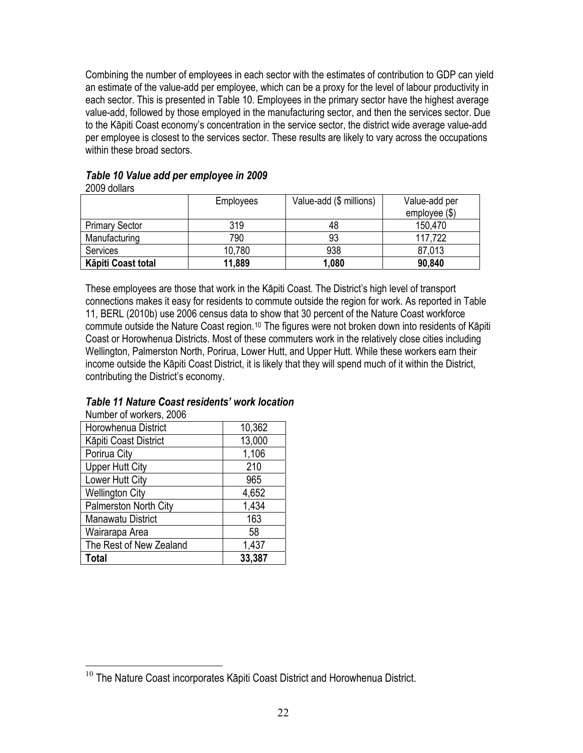Combining the number of employees in each sector with the estimates of contribution to GDP can yield an estimate of the value-add per employee, which can be a proxy for the level of labour productivity in each sector. This is presented in Table 10. Employees in the primary sector have the highest average value-add, followed by those employed in the manufacturing sector, and then the services sector. Due to the Kāpiti Coast economy's concentration in the service sector, the district wide average value-add per employee is closest to the services sector. These results are likely to vary across the occupations within these broad sectors.

| Table 10 Value add per employee in 2009 |  |
|-----------------------------------------|--|
| 2009 dollars                            |  |

|                       | <b>Employees</b> | Value-add (\$ millions) | Value-add per<br>employee $(\$)$ |
|-----------------------|------------------|-------------------------|----------------------------------|
| <b>Primary Sector</b> | 319              | 48                      | 150,470                          |
| Manufacturing         | 790              | 93                      | 117,722                          |
| <b>Services</b>       | 10,780           | 938                     | 87,013                           |
| Kāpiti Coast total    | 11,889           | 1,080                   | 90,840                           |

These employees are those that work in the Kāpiti Coast. The District's high level of transport connections makes it easy for residents to commute outside the region for work. As reported in Table 11, BERL (2010b) use 2006 census data to show that 30 percent of the Nature Coast workforce commute outside the Nature Coast region.<sup>[10](#page-21-0)</sup> The figures were not broken down into residents of Kāpiti Coast or Horowhenua Districts. Most of these commuters work in the relatively close cities including Wellington, Palmerston North, Porirua, Lower Hutt, and Upper Hutt. While these workers earn their income outside the Kāpiti Coast District, it is likely that they will spend much of it within the District, contributing the District's economy.

| Number of workers, 2006      |        |
|------------------------------|--------|
| Horowhenua District          | 10,362 |
| Kāpiti Coast District        | 13,000 |
| Porirua City                 | 1,106  |
| <b>Upper Hutt City</b>       | 210    |
| Lower Hutt City              | 965    |
| <b>Wellington City</b>       | 4,652  |
| <b>Palmerston North City</b> | 1,434  |
| <b>Manawatu District</b>     | 163    |
| Wairarapa Area               | 58     |
| The Rest of New Zealand      | 1,437  |
| <b>Total</b>                 | 33,387 |

### *Table 11 Nature Coast residents' work location*

<span id="page-21-0"></span> $\overline{a}$  $10$  The Nature Coast incorporates Kāpiti Coast District and Horowhenua District.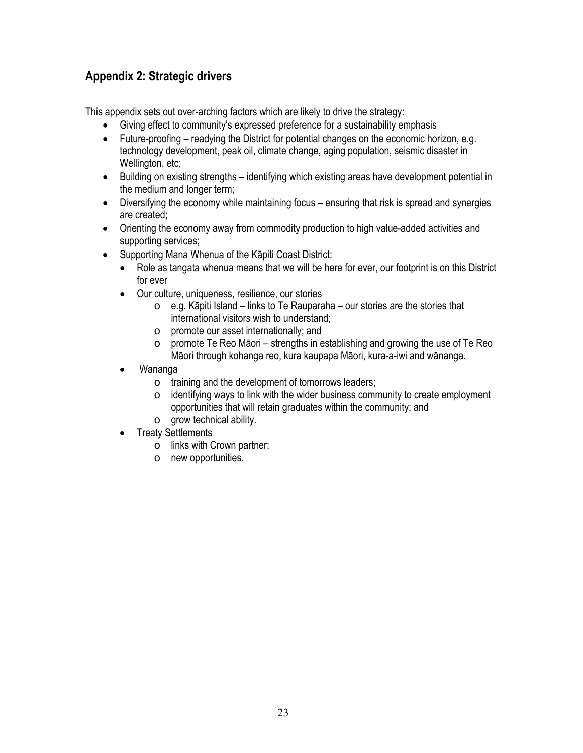# <span id="page-22-0"></span>**Appendix 2: Strategic drivers**

This appendix sets out over-arching factors which are likely to drive the strategy:

- Giving effect to community's expressed preference for a sustainability emphasis
- Future-proofing readying the District for potential changes on the economic horizon, e.g. technology development, peak oil, climate change, aging population, seismic disaster in Wellington, etc;
- Building on existing strengths identifying which existing areas have development potential in the medium and longer term;
- Diversifying the economy while maintaining focus ensuring that risk is spread and synergies are created;
- Orienting the economy away from commodity production to high value-added activities and supporting services;
- Supporting Mana Whenua of the Kāpiti Coast District:
	- Role as tangata whenua means that we will be here for ever, our footprint is on this District for ever
	- Our culture, uniqueness, resilience, our stories
		- $\circ$  e.g. Kāpiti Island links to Te Rauparaha our stories are the stories that international visitors wish to understand;
		- o promote our asset internationally; and
		- o promote Te Reo Māori strengths in establishing and growing the use of Te Reo Māori through kohanga reo, kura kaupapa Māori, kura-a-iwi and wānanga.
	- Wananga
		- o training and the development of tomorrows leaders;
		- o identifying ways to link with the wider business community to create employment opportunities that will retain graduates within the community; and
		- o grow technical ability.
	- Treaty Settlements
		- o links with Crown partner;
		- o new opportunities.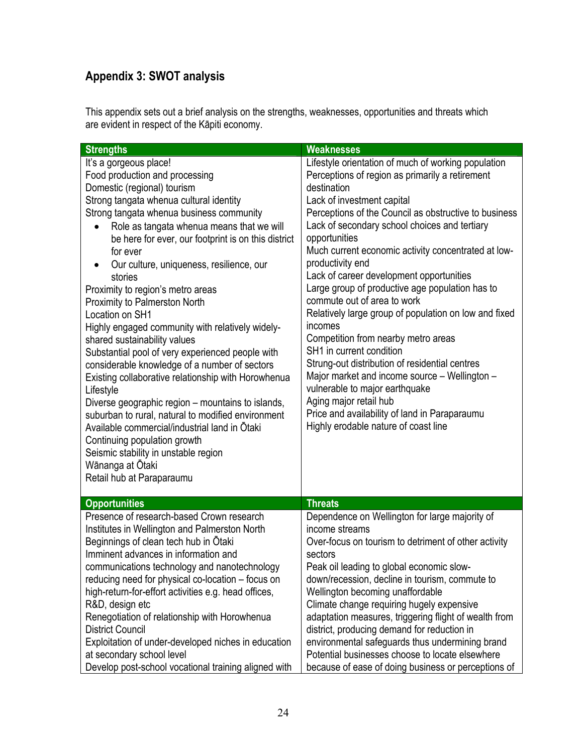# <span id="page-23-0"></span>**Appendix 3: SWOT analysis**

This appendix sets out a brief analysis on the strengths, weaknesses, opportunities and threats which are evident in respect of the Kāpiti economy.

| <b>Strengths</b>                                                                                                                                                                                                                                                                                                                                                                                                                                                                                                                                                                                                                                                                                                                                                                                                                                                                                                                                                                                 | <b>Weaknesses</b>                                                                                                                                                                                                                                                                                                                                                                                                                                                                                                                                                                                                                                                                                                                                                                                                                                                                      |
|--------------------------------------------------------------------------------------------------------------------------------------------------------------------------------------------------------------------------------------------------------------------------------------------------------------------------------------------------------------------------------------------------------------------------------------------------------------------------------------------------------------------------------------------------------------------------------------------------------------------------------------------------------------------------------------------------------------------------------------------------------------------------------------------------------------------------------------------------------------------------------------------------------------------------------------------------------------------------------------------------|----------------------------------------------------------------------------------------------------------------------------------------------------------------------------------------------------------------------------------------------------------------------------------------------------------------------------------------------------------------------------------------------------------------------------------------------------------------------------------------------------------------------------------------------------------------------------------------------------------------------------------------------------------------------------------------------------------------------------------------------------------------------------------------------------------------------------------------------------------------------------------------|
| It's a gorgeous place!<br>Food production and processing<br>Domestic (regional) tourism<br>Strong tangata whenua cultural identity<br>Strong tangata whenua business community<br>Role as tangata whenua means that we will<br>be here for ever, our footprint is on this district<br>for ever<br>Our culture, uniqueness, resilience, our<br>stories<br>Proximity to region's metro areas<br>Proximity to Palmerston North<br>Location on SH1<br>Highly engaged community with relatively widely-<br>shared sustainability values<br>Substantial pool of very experienced people with<br>considerable knowledge of a number of sectors<br>Existing collaborative relationship with Horowhenua<br>Lifestyle<br>Diverse geographic region - mountains to islands,<br>suburban to rural, natural to modified environment<br>Available commercial/industrial land in Otaki<br>Continuing population growth<br>Seismic stability in unstable region<br>Wānanga at Ōtaki<br>Retail hub at Paraparaumu | Lifestyle orientation of much of working population<br>Perceptions of region as primarily a retirement<br>destination<br>Lack of investment capital<br>Perceptions of the Council as obstructive to business<br>Lack of secondary school choices and tertiary<br>opportunities<br>Much current economic activity concentrated at low-<br>productivity end<br>Lack of career development opportunities<br>Large group of productive age population has to<br>commute out of area to work<br>Relatively large group of population on low and fixed<br>incomes<br>Competition from nearby metro areas<br>SH1 in current condition<br>Strung-out distribution of residential centres<br>Major market and income source - Wellington -<br>vulnerable to major earthquake<br>Aging major retail hub<br>Price and availability of land in Paraparaumu<br>Highly erodable nature of coast line |
| <b>Opportunities</b>                                                                                                                                                                                                                                                                                                                                                                                                                                                                                                                                                                                                                                                                                                                                                                                                                                                                                                                                                                             | <b>Threats</b>                                                                                                                                                                                                                                                                                                                                                                                                                                                                                                                                                                                                                                                                                                                                                                                                                                                                         |
| Presence of research-based Crown research<br>Institutes in Wellington and Palmerston North<br>Beginnings of clean tech hub in Otaki<br>Imminent advances in information and<br>communications technology and nanotechnology<br>reducing need for physical co-location – focus on<br>high-return-for-effort activities e.g. head offices,<br>R&D, design etc<br>Renegotiation of relationship with Horowhenua<br><b>District Council</b><br>Exploitation of under-developed niches in education<br>at secondary school level<br>Develop post-school vocational training aligned with                                                                                                                                                                                                                                                                                                                                                                                                              | Dependence on Wellington for large majority of<br>income streams<br>Over-focus on tourism to detriment of other activity<br>sectors<br>Peak oil leading to global economic slow-<br>down/recession, decline in tourism, commute to<br>Wellington becoming unaffordable<br>Climate change requiring hugely expensive<br>adaptation measures, triggering flight of wealth from<br>district, producing demand for reduction in<br>environmental safeguards thus undermining brand<br>Potential businesses choose to locate elsewhere<br>because of ease of doing business or perceptions of                                                                                                                                                                                                                                                                                               |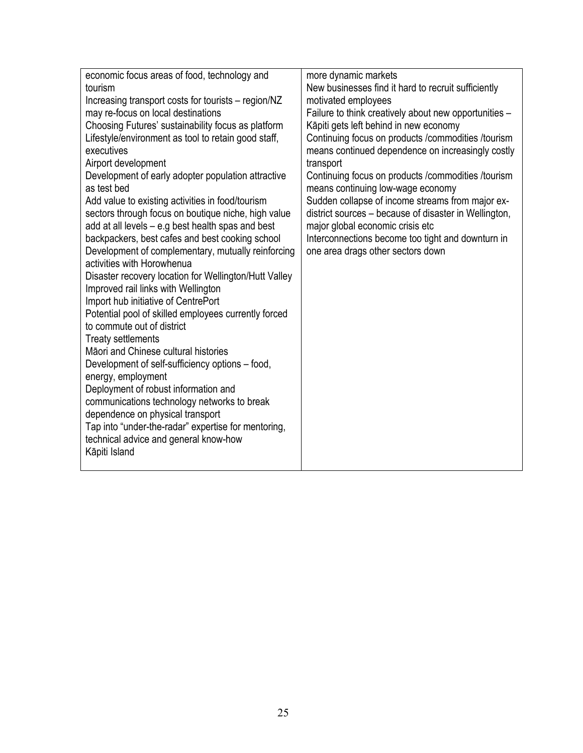| economic focus areas of food, technology and          | more dynamic markets                                  |
|-------------------------------------------------------|-------------------------------------------------------|
| tourism                                               | New businesses find it hard to recruit sufficiently   |
| Increasing transport costs for tourists – region/NZ   | motivated employees                                   |
| may re-focus on local destinations                    | Failure to think creatively about new opportunities - |
| Choosing Futures' sustainability focus as platform    | Kāpiti gets left behind in new economy                |
| Lifestyle/environment as tool to retain good staff,   | Continuing focus on products / commodities / tourism  |
| executives                                            | means continued dependence on increasingly costly     |
| Airport development                                   | transport                                             |
| Development of early adopter population attractive    | Continuing focus on products / commodities / tourism  |
| as test bed                                           | means continuing low-wage economy                     |
| Add value to existing activities in food/tourism      | Sudden collapse of income streams from major ex-      |
| sectors through focus on boutique niche, high value   | district sources - because of disaster in Wellington, |
| add at all levels - e.g best health spas and best     | major global economic crisis etc                      |
| backpackers, best cafes and best cooking school       | Interconnections become too tight and downturn in     |
| Development of complementary, mutually reinforcing    | one area drags other sectors down                     |
| activities with Horowhenua                            |                                                       |
| Disaster recovery location for Wellington/Hutt Valley |                                                       |
| Improved rail links with Wellington                   |                                                       |
| Import hub initiative of CentrePort                   |                                                       |
| Potential pool of skilled employees currently forced  |                                                       |
| to commute out of district                            |                                                       |
| <b>Treaty settlements</b>                             |                                                       |
| Māori and Chinese cultural histories                  |                                                       |
| Development of self-sufficiency options – food,       |                                                       |
| energy, employment                                    |                                                       |
| Deployment of robust information and                  |                                                       |
| communications technology networks to break           |                                                       |
| dependence on physical transport                      |                                                       |
| Tap into "under-the-radar" expertise for mentoring,   |                                                       |
| technical advice and general know-how                 |                                                       |
| Kāpiti Island                                         |                                                       |
|                                                       |                                                       |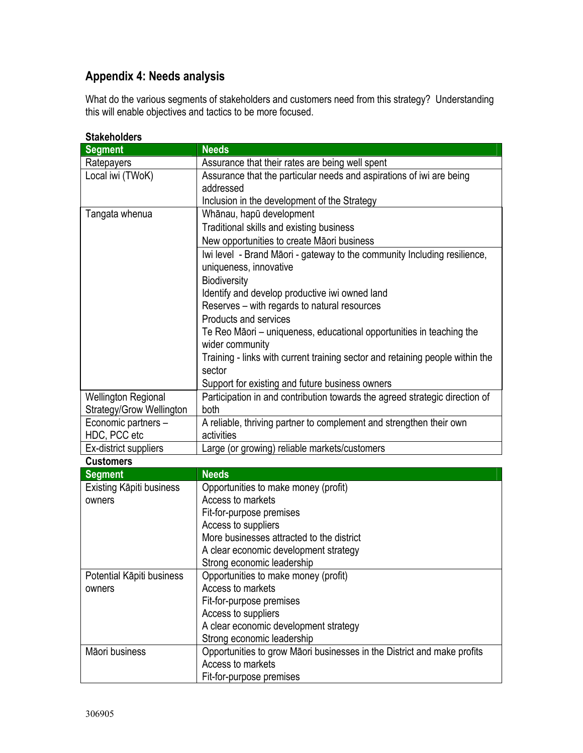# <span id="page-25-0"></span>**Appendix 4: Needs analysis**

What do the various segments of stakeholders and customers need from this strategy? Understanding this will enable objectives and tactics to be more focused.

| olanellulueis             |                                                                               |  |
|---------------------------|-------------------------------------------------------------------------------|--|
| <b>Segment</b>            | <b>Needs</b>                                                                  |  |
| Ratepayers                | Assurance that their rates are being well spent                               |  |
| Local iwi (TWoK)          | Assurance that the particular needs and aspirations of iwi are being          |  |
|                           | addressed                                                                     |  |
|                           | Inclusion in the development of the Strategy                                  |  |
| Tangata whenua            | Whānau, hapū development                                                      |  |
|                           | Traditional skills and existing business                                      |  |
|                           | New opportunities to create Māori business                                    |  |
|                           | Iwi level - Brand Māori - gateway to the community Including resilience,      |  |
|                           | uniqueness, innovative                                                        |  |
|                           | <b>Biodiversity</b>                                                           |  |
|                           | Identify and develop productive iwi owned land                                |  |
|                           | Reserves - with regards to natural resources                                  |  |
|                           | Products and services                                                         |  |
|                           | Te Reo Māori – uniqueness, educational opportunities in teaching the          |  |
|                           | wider community                                                               |  |
|                           | Training - links with current training sector and retaining people within the |  |
|                           | sector                                                                        |  |
|                           | Support for existing and future business owners                               |  |
| Wellington Regional       | Participation in and contribution towards the agreed strategic direction of   |  |
| Strategy/Grow Wellington  | both                                                                          |  |
| Economic partners -       | A reliable, thriving partner to complement and strengthen their own           |  |
| HDC, PCC etc              | activities                                                                    |  |
| Ex-district suppliers     | Large (or growing) reliable markets/customers                                 |  |
| <b>Customers</b>          |                                                                               |  |
| <b>Segment</b>            | <b>Needs</b>                                                                  |  |
| Existing Kāpiti business  | Opportunities to make money (profit)                                          |  |
| owners                    | Access to markets                                                             |  |
|                           | Fit-for-purpose premises                                                      |  |
|                           | Access to suppliers                                                           |  |
|                           | More businesses attracted to the district                                     |  |
|                           | A clear economic development strategy                                         |  |
|                           | Strong economic leadership                                                    |  |
| Potential Kāpiti business | Opportunities to make money (profit)                                          |  |
| owners                    | Access to markets                                                             |  |
|                           | Fit-for-purpose premises                                                      |  |
|                           | Access to suppliers                                                           |  |
|                           | A clear economic development strategy                                         |  |
|                           | Strong economic leadership                                                    |  |
| Māori business            | Opportunities to grow Māori businesses in the District and make profits       |  |
|                           | Access to markets                                                             |  |
|                           | Fit-for-purpose premises                                                      |  |

### **Stakeholders**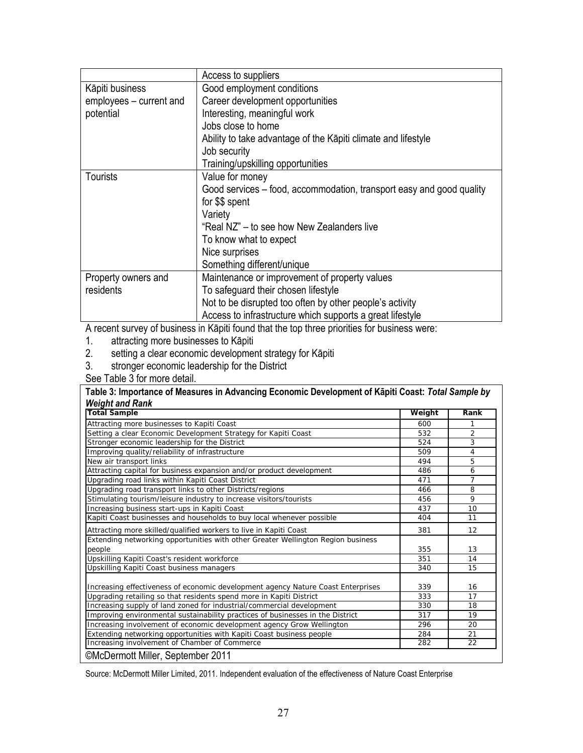|                         | Access to suppliers                                                  |
|-------------------------|----------------------------------------------------------------------|
| Kāpiti business         | Good employment conditions                                           |
| employees - current and | Career development opportunities                                     |
| potential               | Interesting, meaningful work                                         |
|                         | Jobs close to home                                                   |
|                         | Ability to take advantage of the Kapiti climate and lifestyle        |
|                         | Job security                                                         |
|                         | Training/upskilling opportunities                                    |
| <b>Tourists</b>         | Value for money                                                      |
|                         | Good services – food, accommodation, transport easy and good quality |
|                         | for \$\$ spent                                                       |
|                         | Variety                                                              |
|                         | "Real NZ" – to see how New Zealanders live                           |
|                         | To know what to expect                                               |
|                         | Nice surprises                                                       |
|                         | Something different/unique                                           |
| Property owners and     | Maintenance or improvement of property values                        |
| residents               | To safeguard their chosen lifestyle                                  |
|                         | Not to be disrupted too often by other people's activity             |
|                         | Access to infrastructure which supports a great lifestyle            |

A recent survey of business in Kāpiti found that the top three priorities for business were:

- 1. attracting more businesses to Kāpiti
- 2. setting a clear economic development strategy for Kāpiti
- 3. stronger economic leadership for the District
- See Table 3 for more detail.

**Table 3: Importance of Measures in Advancing Economic Development of Kāpiti Coast:** *Total Sample by Weight and Rank*

| <b>Total Sample</b>                                                              | Weight | Rank           |
|----------------------------------------------------------------------------------|--------|----------------|
| Attracting more businesses to Kapiti Coast                                       | 600    | 1              |
| Setting a clear Economic Development Strategy for Kapiti Coast                   | 532    | $\overline{2}$ |
| Stronger economic leadership for the District                                    | 524    | 3              |
| Improving quality/reliability of infrastructure                                  | 509    | 4              |
| New air transport links                                                          | 494    | 5              |
| Attracting capital for business expansion and/or product development             | 486    | 6              |
| Upgrading road links within Kapiti Coast District                                | 471    | 7              |
| Upgrading road transport links to other Districts/regions                        | 466    | 8              |
| Stimulating tourism/leisure industry to increase visitors/tourists               | 456    | 9              |
| Increasing business start-ups in Kapiti Coast                                    | 437    | 10             |
| Kapiti Coast businesses and households to buy local whenever possible            | 404    | 11             |
| Attracting more skilled/qualified workers to live in Kapiti Coast                | 381    | 12             |
| Extending networking opportunities with other Greater Wellington Region business |        |                |
| people                                                                           | 355    | 13             |
| Upskilling Kapiti Coast's resident workforce                                     | 351    | 14             |
| Upskilling Kapiti Coast business managers                                        |        | 15             |
| Increasing effectiveness of economic development agency Nature Coast Enterprises | 339    | 16             |
| Upgrading retailing so that residents spend more in Kapiti District              |        | 17             |
| Increasing supply of land zoned for industrial/commercial development            | 330    | 18             |
| Improving environmental sustainability practices of businesses in the District   |        | 19             |
| Increasing involvement of economic development agency Grow Wellington            |        | 20             |
| Extending networking opportunities with Kapiti Coast business people             | 284    | 21             |
| Increasing involvement of Chamber of Commerce                                    | 282    | 22             |

Source: McDermott Miller Limited, 2011. Independent evaluation of the effectiveness of Nature Coast Enterprise